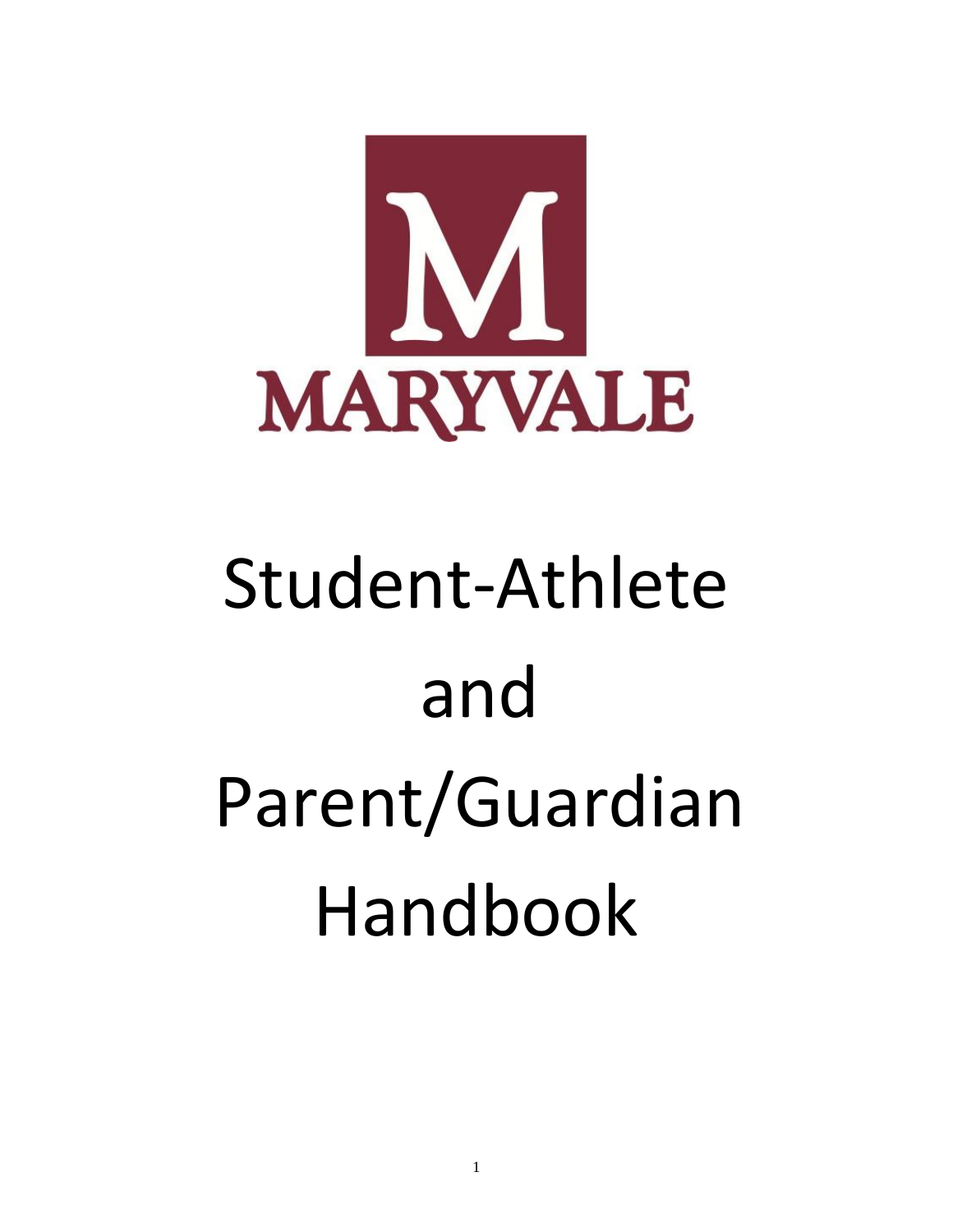

# Student-Athlete and Parent/Guardian Handbook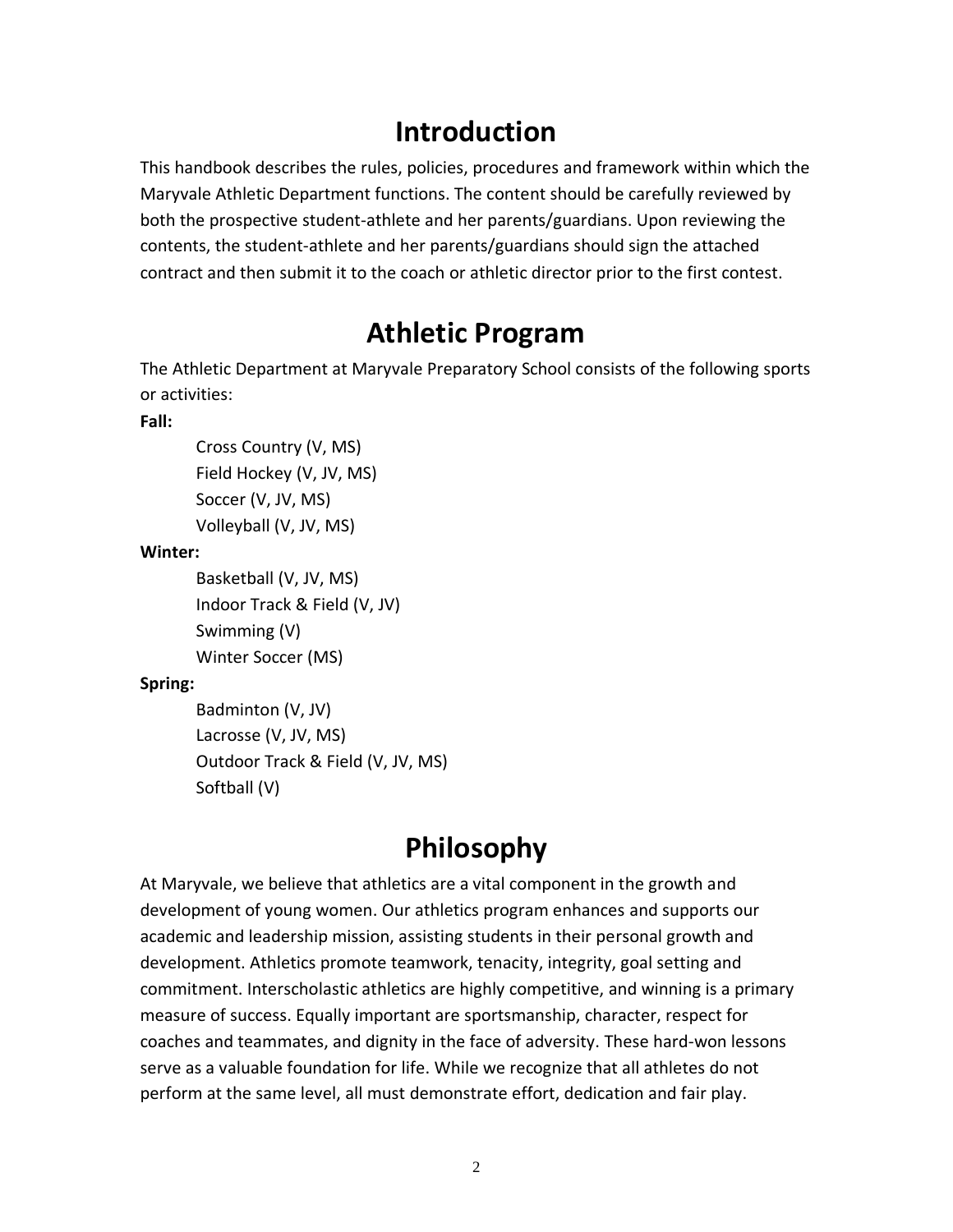## **Introduction**

This handbook describes the rules, policies, procedures and framework within which the Maryvale Athletic Department functions. The content should be carefully reviewed by both the prospective student-athlete and her parents/guardians. Upon reviewing the contents, the student-athlete and her parents/guardians should sign the attached contract and then submit it to the coach or athletic director prior to the first contest.

## **Athletic Program**

The Athletic Department at Maryvale Preparatory School consists of the following sports or activities:

#### **Fall:**

Cross Country (V, MS) Field Hockey (V, JV, MS) Soccer (V, JV, MS) Volleyball (V, JV, MS)

#### **Winter:**

```
Basketball (V, JV, MS)
Indoor Track & Field (V, JV)
Swimming (V)
Winter Soccer (MS)
```
## **Spring:**

Badminton (V, JV) Lacrosse (V, JV, MS) Outdoor Track & Field (V, JV, MS) Softball (V)

# **Philosophy**

At Maryvale, we believe that athletics are a vital component in the growth and development of young women. Our athletics program enhances and supports our academic and leadership mission, assisting students in their personal growth and development. Athletics promote teamwork, tenacity, integrity, goal setting and commitment. Interscholastic athletics are highly competitive, and winning is a primary measure of success. Equally important are sportsmanship, character, respect for coaches and teammates, and dignity in the face of adversity. These hard-won lessons serve as a valuable foundation for life. While we recognize that all athletes do not perform at the same level, all must demonstrate effort, dedication and fair play.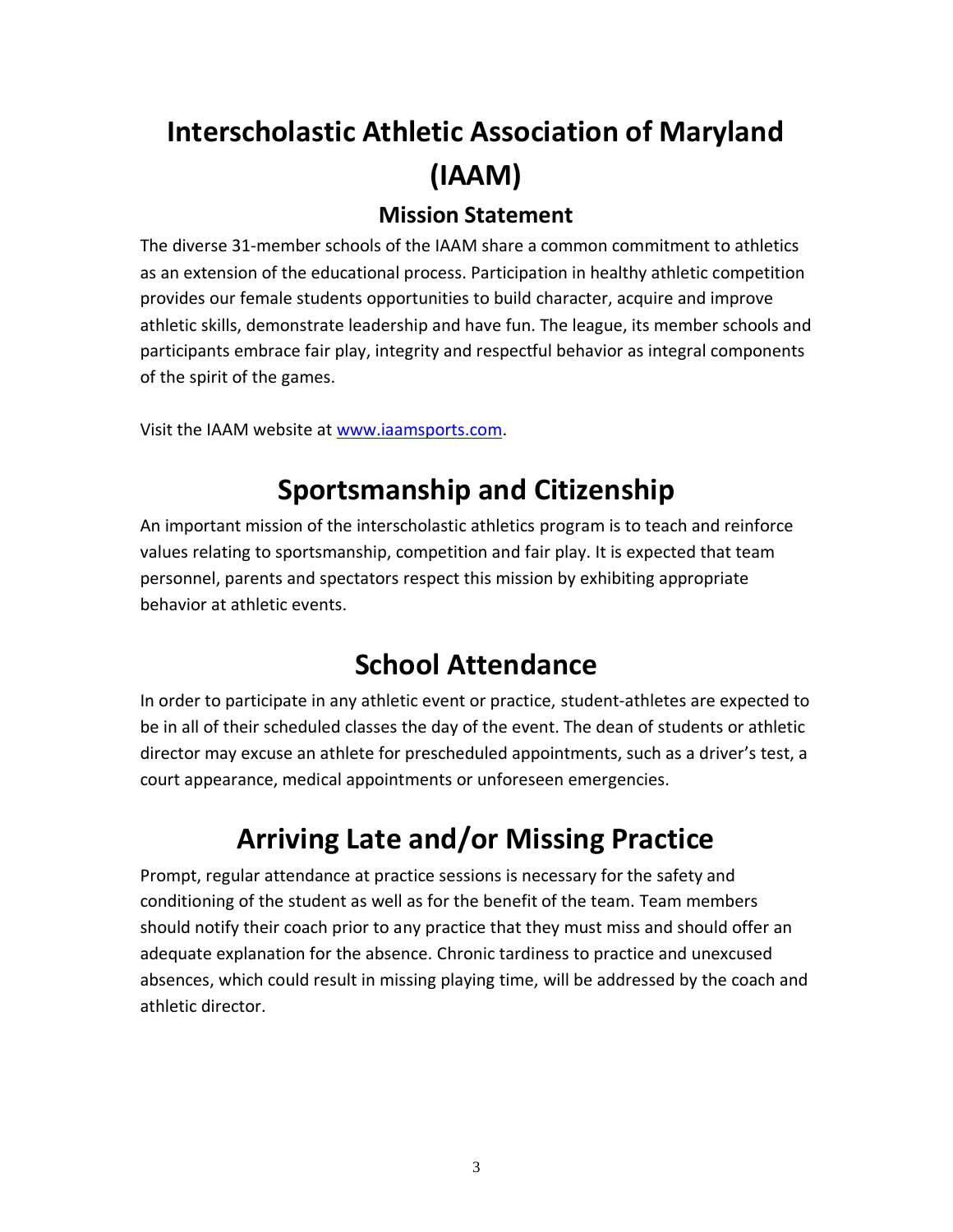# **Interscholastic Athletic Association of Maryland (IAAM)**

## **Mission Statement**

The diverse 31-member schools of the IAAM share a common commitment to athletics as an extension of the educational process. Participation in healthy athletic competition provides our female students opportunities to build character, acquire and improve athletic skills, demonstrate leadership and have fun. The league, its member schools and participants embrace fair play, integrity and respectful behavior as integral components of the spirit of the games.

Visit the IAAM website at [www.iaamsports.com.](http://www.iaamsports.com/)

# **Sportsmanship and Citizenship**

An important mission of the interscholastic athletics program is to teach and reinforce values relating to sportsmanship, competition and fair play. It is expected that team personnel, parents and spectators respect this mission by exhibiting appropriate behavior at athletic events.

# **School Attendance**

In order to participate in any athletic event or practice, student-athletes are expected to be in all of their scheduled classes the day of the event. The dean of students or athletic director may excuse an athlete for prescheduled appointments, such as a driver's test, a court appearance, medical appointments or unforeseen emergencies.

# **Arriving Late and/or Missing Practice**

Prompt, regular attendance at practice sessions is necessary for the safety and conditioning of the student as well as for the benefit of the team. Team members should notify their coach prior to any practice that they must miss and should offer an adequate explanation for the absence. Chronic tardiness to practice and unexcused absences, which could result in missing playing time, will be addressed by the coach and athletic director.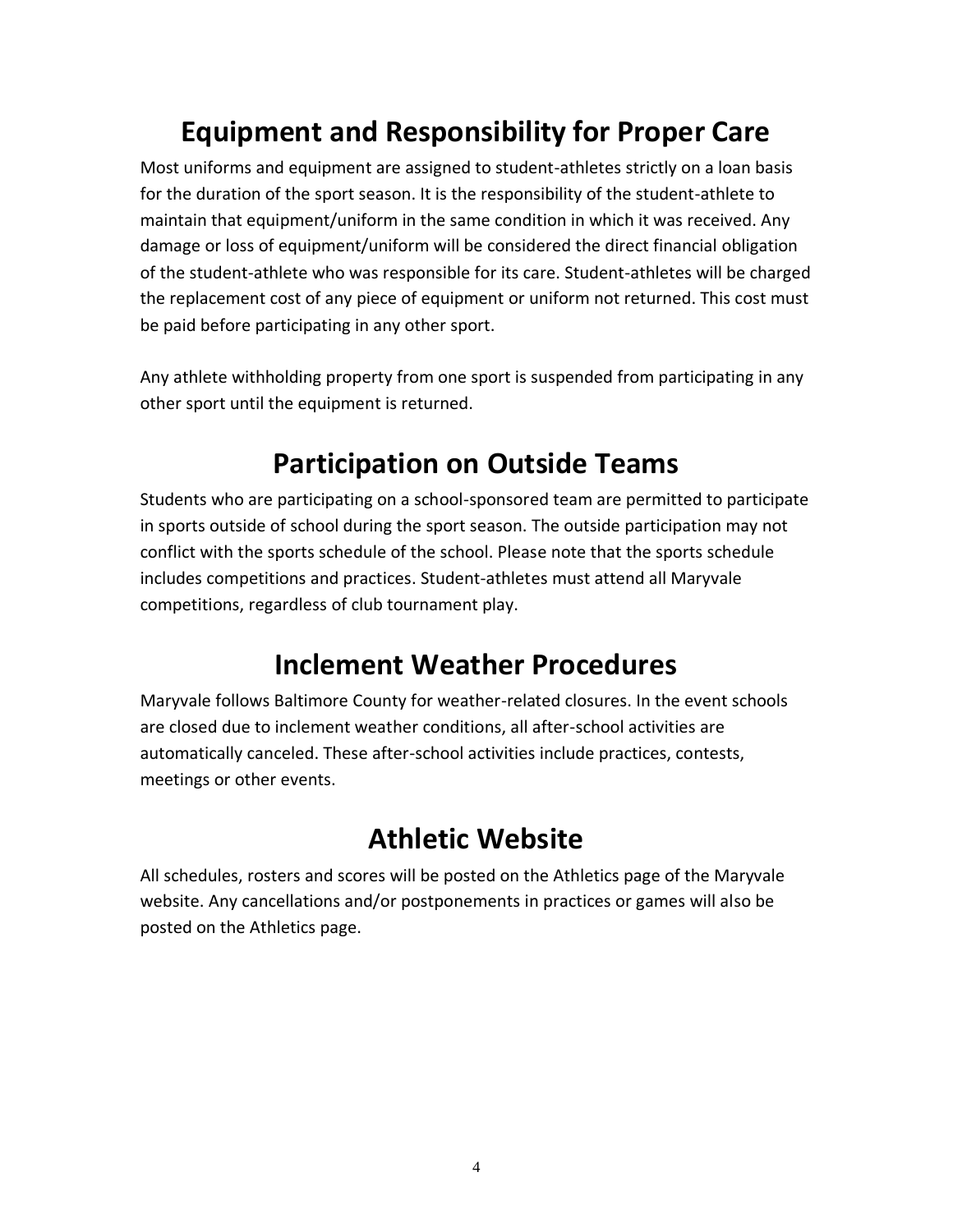# **Equipment and Responsibility for Proper Care**

Most uniforms and equipment are assigned to student-athletes strictly on a loan basis for the duration of the sport season. It is the responsibility of the student-athlete to maintain that equipment/uniform in the same condition in which it was received. Any damage or loss of equipment/uniform will be considered the direct financial obligation of the student-athlete who was responsible for its care. Student-athletes will be charged the replacement cost of any piece of equipment or uniform not returned. This cost must be paid before participating in any other sport.

Any athlete withholding property from one sport is suspended from participating in any other sport until the equipment is returned.

## **Participation on Outside Teams**

Students who are participating on a school-sponsored team are permitted to participate in sports outside of school during the sport season. The outside participation may not conflict with the sports schedule of the school. Please note that the sports schedule includes competitions and practices. Student-athletes must attend all Maryvale competitions, regardless of club tournament play.

## **Inclement Weather Procedures**

Maryvale follows Baltimore County for weather-related closures. In the event schools are closed due to inclement weather conditions, all after-school activities are automatically canceled. These after-school activities include practices, contests, meetings or other events.

## **Athletic Website**

All schedules, rosters and scores will be posted on the Athletics page of the Maryvale website. Any cancellations and/or postponements in practices or games will also be posted on the Athletics page.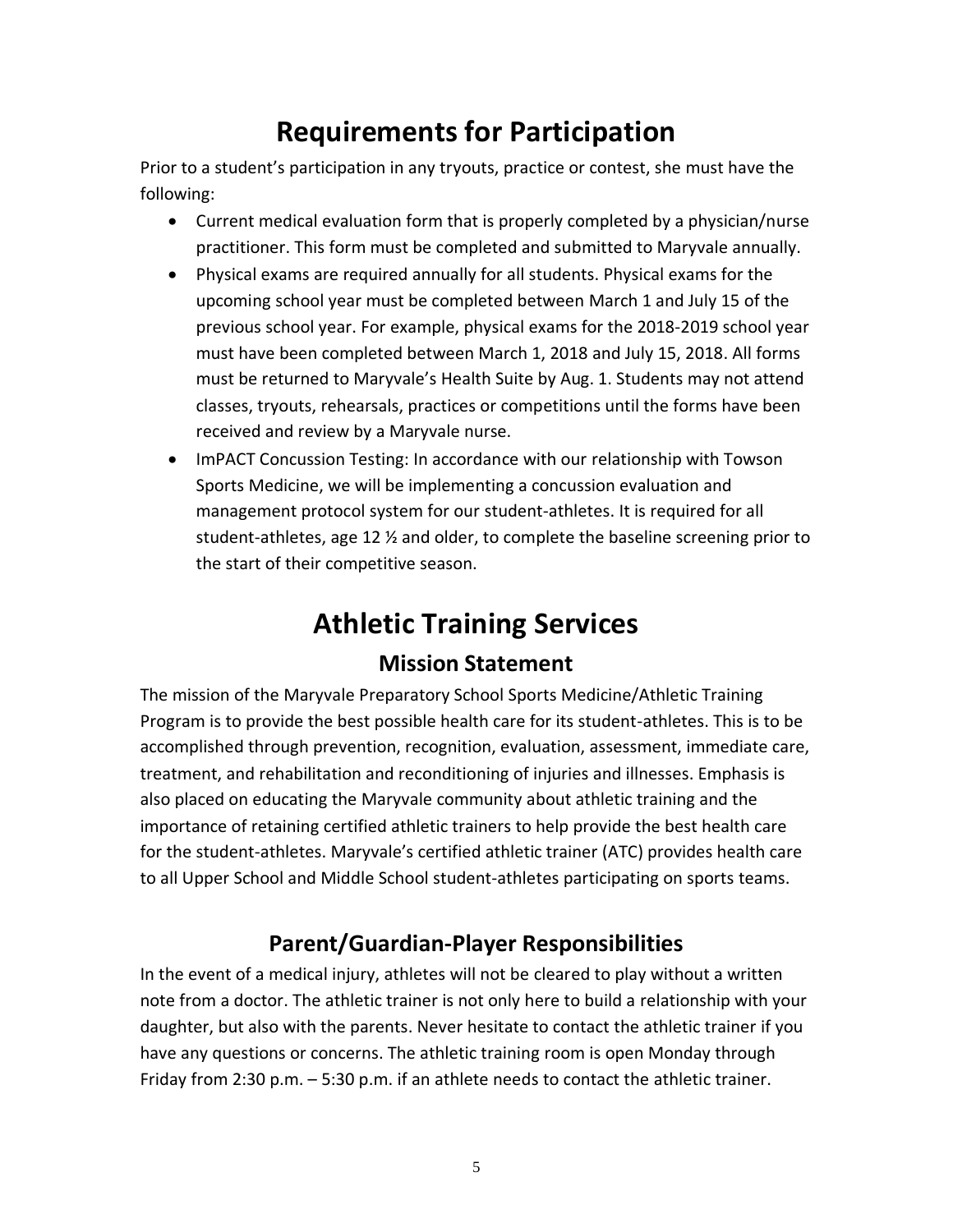# **Requirements for Participation**

Prior to a student's participation in any tryouts, practice or contest, she must have the following:

- Current medical evaluation form that is properly completed by a physician/nurse practitioner. This form must be completed and submitted to Maryvale annually.
- Physical exams are required annually for all students. Physical exams for the upcoming school year must be completed between March 1 and July 15 of the previous school year. For example, physical exams for the 2018-2019 school year must have been completed between March 1, 2018 and July 15, 2018. All forms must be returned to Maryvale's Health Suite by Aug. 1. Students may not attend classes, tryouts, rehearsals, practices or competitions until the forms have been received and review by a Maryvale nurse.
- ImPACT Concussion Testing: In accordance with our relationship with Towson Sports Medicine, we will be implementing a concussion evaluation and management protocol system for our student-athletes. It is required for all student-athletes, age 12 ½ and older, to complete the baseline screening prior to the start of their competitive season.

# **Athletic Training Services**

## **Mission Statement**

The mission of the Maryvale Preparatory School Sports Medicine/Athletic Training Program is to provide the best possible health care for its student-athletes. This is to be accomplished through prevention, recognition, evaluation, assessment, immediate care, treatment, and rehabilitation and reconditioning of injuries and illnesses. Emphasis is also placed on educating the Maryvale community about athletic training and the importance of retaining certified athletic trainers to help provide the best health care for the student-athletes. Maryvale's certified athletic trainer (ATC) provides health care to all Upper School and Middle School student-athletes participating on sports teams.

## **Parent/Guardian-Player Responsibilities**

In the event of a medical injury, athletes will not be cleared to play without a written note from a doctor. The athletic trainer is not only here to build a relationship with your daughter, but also with the parents. Never hesitate to contact the athletic trainer if you have any questions or concerns. The athletic training room is open Monday through Friday from 2:30 p.m. – 5:30 p.m. if an athlete needs to contact the athletic trainer.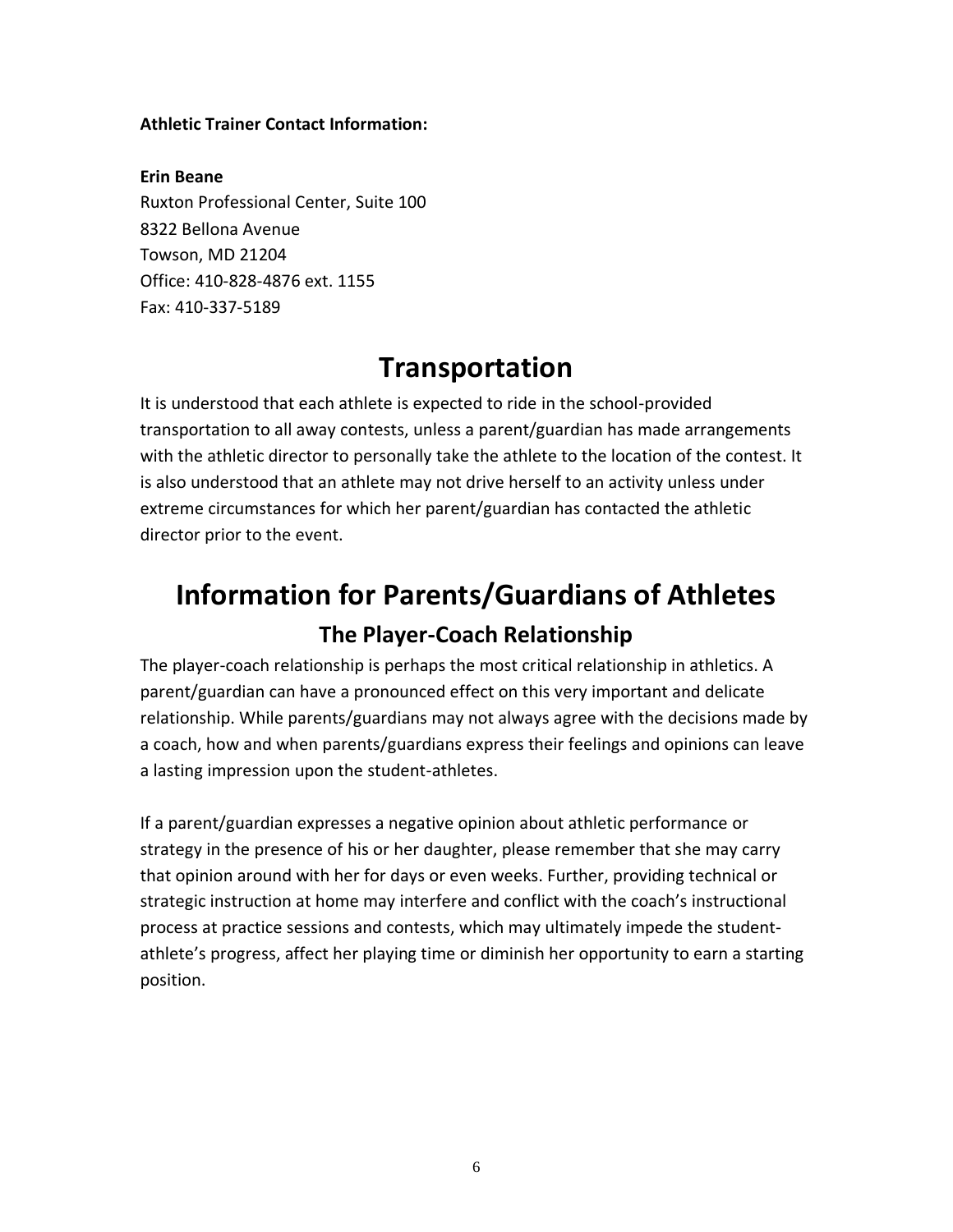#### **Athletic Trainer Contact Information:**

**Erin Beane** Ruxton Professional Center, Suite 100 8322 Bellona Avenue Towson, MD 21204 Office: 410-828-4876 ext. 1155 Fax: 410-337-5189

## **Transportation**

It is understood that each athlete is expected to ride in the school-provided transportation to all away contests, unless a parent/guardian has made arrangements with the athletic director to personally take the athlete to the location of the contest. It is also understood that an athlete may not drive herself to an activity unless under extreme circumstances for which her parent/guardian has contacted the athletic director prior to the event.

# **Information for Parents/Guardians of Athletes The Player-Coach Relationship**

The player-coach relationship is perhaps the most critical relationship in athletics. A parent/guardian can have a pronounced effect on this very important and delicate relationship. While parents/guardians may not always agree with the decisions made by a coach, how and when parents/guardians express their feelings and opinions can leave a lasting impression upon the student-athletes.

If a parent/guardian expresses a negative opinion about athletic performance or strategy in the presence of his or her daughter, please remember that she may carry that opinion around with her for days or even weeks. Further, providing technical or strategic instruction at home may interfere and conflict with the coach's instructional process at practice sessions and contests, which may ultimately impede the studentathlete's progress, affect her playing time or diminish her opportunity to earn a starting position.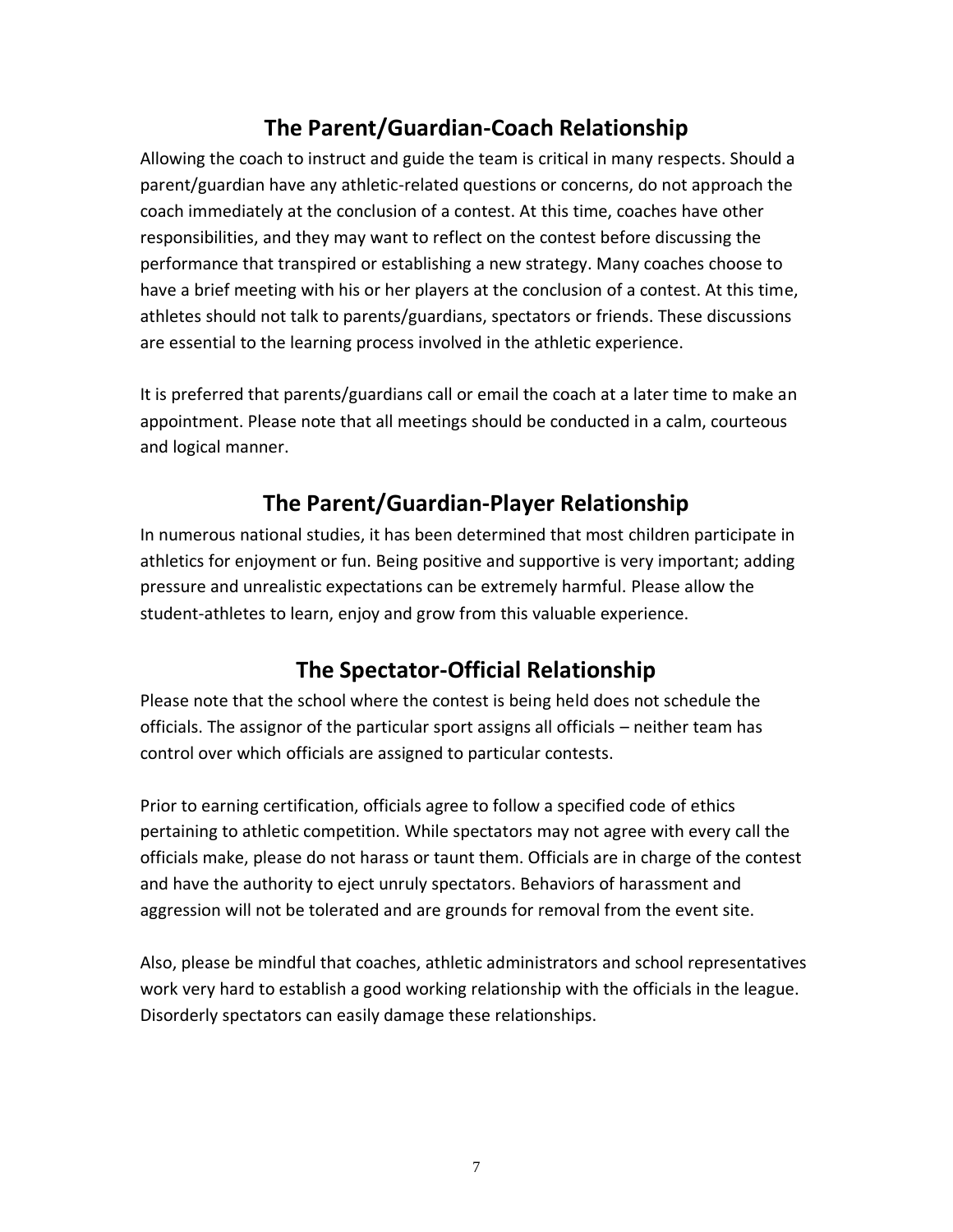## **The Parent/Guardian-Coach Relationship**

Allowing the coach to instruct and guide the team is critical in many respects. Should a parent/guardian have any athletic-related questions or concerns, do not approach the coach immediately at the conclusion of a contest. At this time, coaches have other responsibilities, and they may want to reflect on the contest before discussing the performance that transpired or establishing a new strategy. Many coaches choose to have a brief meeting with his or her players at the conclusion of a contest. At this time, athletes should not talk to parents/guardians, spectators or friends. These discussions are essential to the learning process involved in the athletic experience.

It is preferred that parents/guardians call or email the coach at a later time to make an appointment. Please note that all meetings should be conducted in a calm, courteous and logical manner.

## **The Parent/Guardian-Player Relationship**

In numerous national studies, it has been determined that most children participate in athletics for enjoyment or fun. Being positive and supportive is very important; adding pressure and unrealistic expectations can be extremely harmful. Please allow the student-athletes to learn, enjoy and grow from this valuable experience.

## **The Spectator-Official Relationship**

Please note that the school where the contest is being held does not schedule the officials. The assignor of the particular sport assigns all officials – neither team has control over which officials are assigned to particular contests.

Prior to earning certification, officials agree to follow a specified code of ethics pertaining to athletic competition. While spectators may not agree with every call the officials make, please do not harass or taunt them. Officials are in charge of the contest and have the authority to eject unruly spectators. Behaviors of harassment and aggression will not be tolerated and are grounds for removal from the event site.

Also, please be mindful that coaches, athletic administrators and school representatives work very hard to establish a good working relationship with the officials in the league. Disorderly spectators can easily damage these relationships.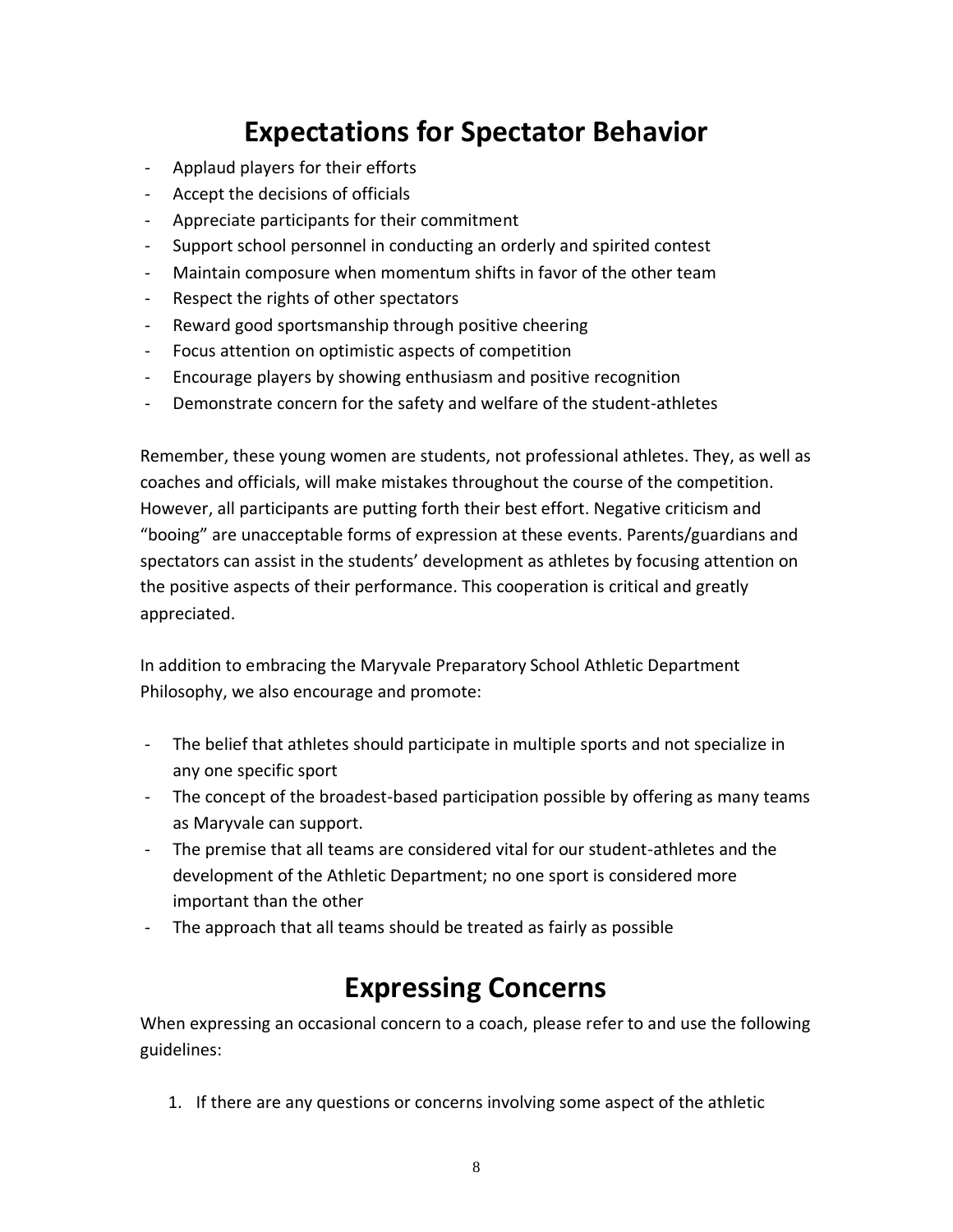## **Expectations for Spectator Behavior**

- Applaud players for their efforts
- Accept the decisions of officials
- Appreciate participants for their commitment
- Support school personnel in conducting an orderly and spirited contest
- Maintain composure when momentum shifts in favor of the other team
- Respect the rights of other spectators
- Reward good sportsmanship through positive cheering
- Focus attention on optimistic aspects of competition
- Encourage players by showing enthusiasm and positive recognition
- Demonstrate concern for the safety and welfare of the student-athletes

Remember, these young women are students, not professional athletes. They, as well as coaches and officials, will make mistakes throughout the course of the competition. However, all participants are putting forth their best effort. Negative criticism and "booing" are unacceptable forms of expression at these events. Parents/guardians and spectators can assist in the students' development as athletes by focusing attention on the positive aspects of their performance. This cooperation is critical and greatly appreciated.

In addition to embracing the Maryvale Preparatory School Athletic Department Philosophy, we also encourage and promote:

- The belief that athletes should participate in multiple sports and not specialize in any one specific sport
- The concept of the broadest-based participation possible by offering as many teams as Maryvale can support.
- The premise that all teams are considered vital for our student-athletes and the development of the Athletic Department; no one sport is considered more important than the other
- The approach that all teams should be treated as fairly as possible

## **Expressing Concerns**

When expressing an occasional concern to a coach, please refer to and use the following guidelines:

1. If there are any questions or concerns involving some aspect of the athletic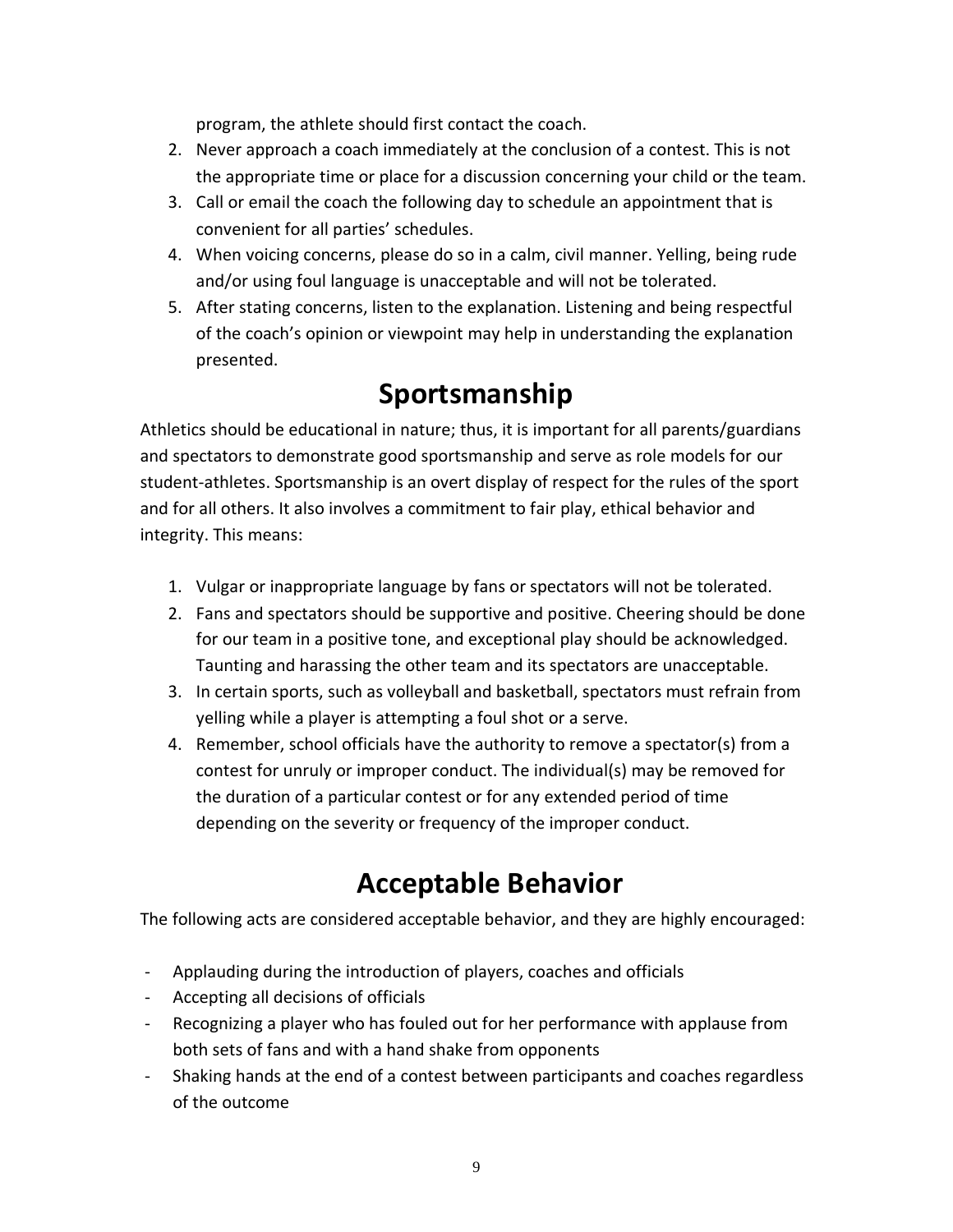program, the athlete should first contact the coach.

- 2. Never approach a coach immediately at the conclusion of a contest. This is not the appropriate time or place for a discussion concerning your child or the team.
- 3. Call or email the coach the following day to schedule an appointment that is convenient for all parties' schedules.
- 4. When voicing concerns, please do so in a calm, civil manner. Yelling, being rude and/or using foul language is unacceptable and will not be tolerated.
- 5. After stating concerns, listen to the explanation. Listening and being respectful of the coach's opinion or viewpoint may help in understanding the explanation presented.

## **Sportsmanship**

Athletics should be educational in nature; thus, it is important for all parents/guardians and spectators to demonstrate good sportsmanship and serve as role models for our student-athletes. Sportsmanship is an overt display of respect for the rules of the sport and for all others. It also involves a commitment to fair play, ethical behavior and integrity. This means:

- 1. Vulgar or inappropriate language by fans or spectators will not be tolerated.
- 2. Fans and spectators should be supportive and positive. Cheering should be done for our team in a positive tone, and exceptional play should be acknowledged. Taunting and harassing the other team and its spectators are unacceptable.
- 3. In certain sports, such as volleyball and basketball, spectators must refrain from yelling while a player is attempting a foul shot or a serve.
- 4. Remember, school officials have the authority to remove a spectator(s) from a contest for unruly or improper conduct. The individual(s) may be removed for the duration of a particular contest or for any extended period of time depending on the severity or frequency of the improper conduct.

## **Acceptable Behavior**

The following acts are considered acceptable behavior, and they are highly encouraged:

- Applauding during the introduction of players, coaches and officials
- Accepting all decisions of officials
- Recognizing a player who has fouled out for her performance with applause from both sets of fans and with a hand shake from opponents
- Shaking hands at the end of a contest between participants and coaches regardless of the outcome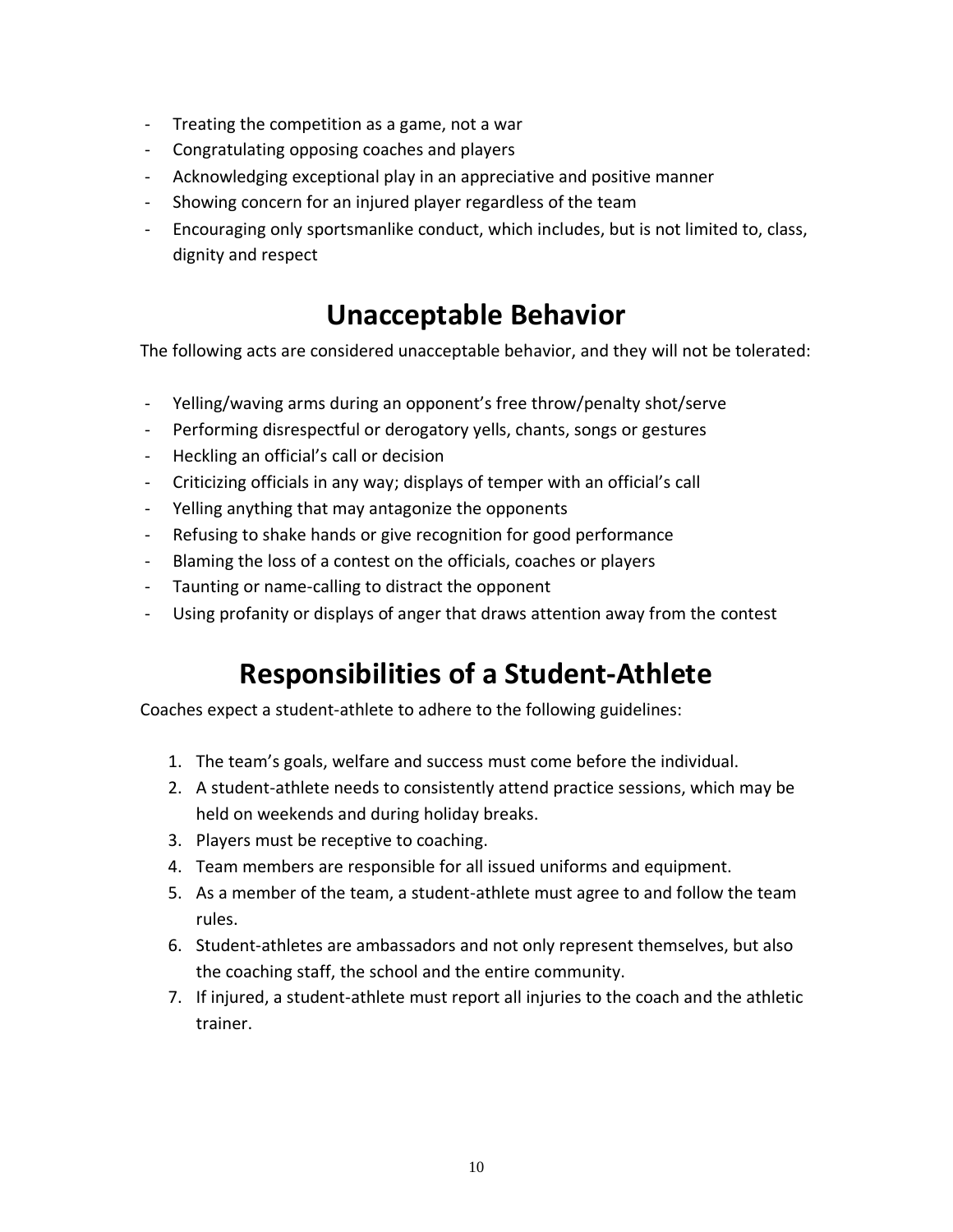- Treating the competition as a game, not a war
- Congratulating opposing coaches and players
- Acknowledging exceptional play in an appreciative and positive manner
- Showing concern for an injured player regardless of the team
- Encouraging only sportsmanlike conduct, which includes, but is not limited to, class, dignity and respect

## **Unacceptable Behavior**

The following acts are considered unacceptable behavior, and they will not be tolerated:

- Yelling/waving arms during an opponent's free throw/penalty shot/serve
- Performing disrespectful or derogatory yells, chants, songs or gestures
- Heckling an official's call or decision
- Criticizing officials in any way; displays of temper with an official's call
- Yelling anything that may antagonize the opponents
- Refusing to shake hands or give recognition for good performance
- Blaming the loss of a contest on the officials, coaches or players
- Taunting or name-calling to distract the opponent
- Using profanity or displays of anger that draws attention away from the contest

## **Responsibilities of a Student-Athlete**

Coaches expect a student-athlete to adhere to the following guidelines:

- 1. The team's goals, welfare and success must come before the individual.
- 2. A student-athlete needs to consistently attend practice sessions, which may be held on weekends and during holiday breaks.
- 3. Players must be receptive to coaching.
- 4. Team members are responsible for all issued uniforms and equipment.
- 5. As a member of the team, a student-athlete must agree to and follow the team rules.
- 6. Student-athletes are ambassadors and not only represent themselves, but also the coaching staff, the school and the entire community.
- 7. If injured, a student-athlete must report all injuries to the coach and the athletic trainer.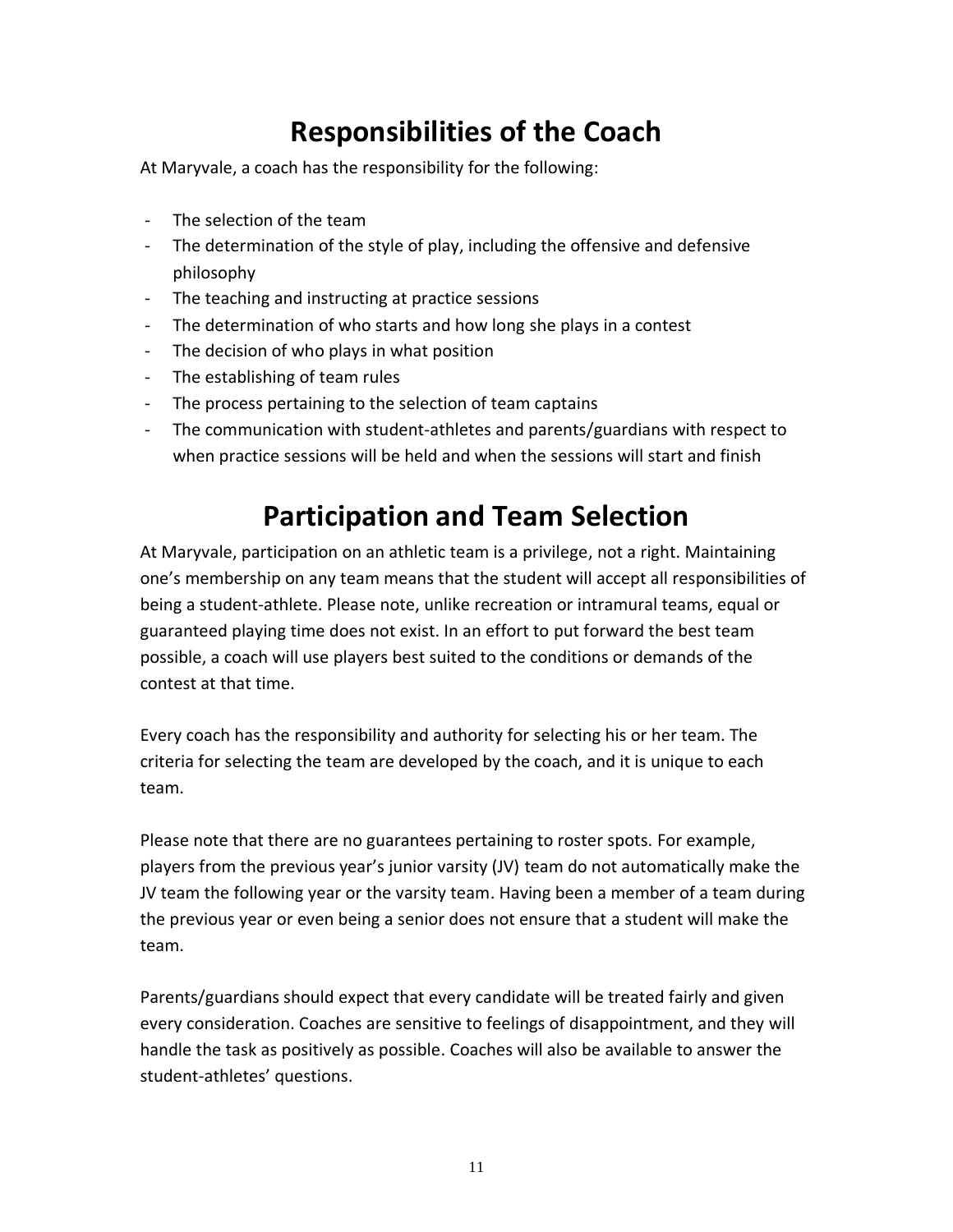## **Responsibilities of the Coach**

At Maryvale, a coach has the responsibility for the following:

- The selection of the team
- The determination of the style of play, including the offensive and defensive philosophy
- The teaching and instructing at practice sessions
- The determination of who starts and how long she plays in a contest
- The decision of who plays in what position
- The establishing of team rules
- The process pertaining to the selection of team captains
- The communication with student-athletes and parents/guardians with respect to when practice sessions will be held and when the sessions will start and finish

## **Participation and Team Selection**

At Maryvale, participation on an athletic team is a privilege, not a right. Maintaining one's membership on any team means that the student will accept all responsibilities of being a student-athlete. Please note, unlike recreation or intramural teams, equal or guaranteed playing time does not exist. In an effort to put forward the best team possible, a coach will use players best suited to the conditions or demands of the contest at that time.

Every coach has the responsibility and authority for selecting his or her team. The criteria for selecting the team are developed by the coach, and it is unique to each team.

Please note that there are no guarantees pertaining to roster spots. For example, players from the previous year's junior varsity (JV) team do not automatically make the JV team the following year or the varsity team. Having been a member of a team during the previous year or even being a senior does not ensure that a student will make the team.

Parents/guardians should expect that every candidate will be treated fairly and given every consideration. Coaches are sensitive to feelings of disappointment, and they will handle the task as positively as possible. Coaches will also be available to answer the student-athletes' questions.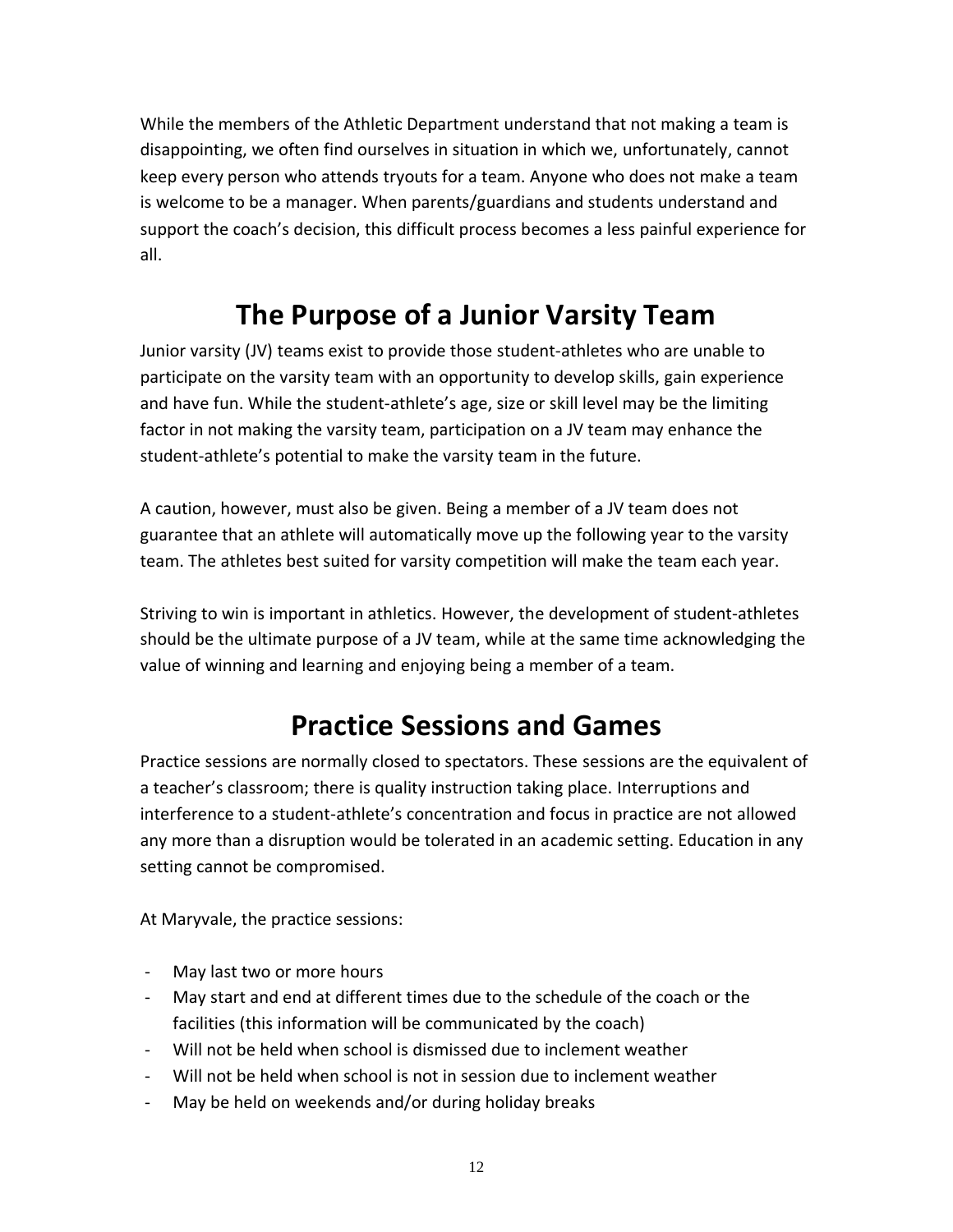While the members of the Athletic Department understand that not making a team is disappointing, we often find ourselves in situation in which we, unfortunately, cannot keep every person who attends tryouts for a team. Anyone who does not make a team is welcome to be a manager. When parents/guardians and students understand and support the coach's decision, this difficult process becomes a less painful experience for all.

## **The Purpose of a Junior Varsity Team**

Junior varsity (JV) teams exist to provide those student-athletes who are unable to participate on the varsity team with an opportunity to develop skills, gain experience and have fun. While the student-athlete's age, size or skill level may be the limiting factor in not making the varsity team, participation on a JV team may enhance the student-athlete's potential to make the varsity team in the future.

A caution, however, must also be given. Being a member of a JV team does not guarantee that an athlete will automatically move up the following year to the varsity team. The athletes best suited for varsity competition will make the team each year.

Striving to win is important in athletics. However, the development of student-athletes should be the ultimate purpose of a JV team, while at the same time acknowledging the value of winning and learning and enjoying being a member of a team.

## **Practice Sessions and Games**

Practice sessions are normally closed to spectators. These sessions are the equivalent of a teacher's classroom; there is quality instruction taking place. Interruptions and interference to a student-athlete's concentration and focus in practice are not allowed any more than a disruption would be tolerated in an academic setting. Education in any setting cannot be compromised.

At Maryvale, the practice sessions:

- May last two or more hours
- May start and end at different times due to the schedule of the coach or the facilities (this information will be communicated by the coach)
- Will not be held when school is dismissed due to inclement weather
- Will not be held when school is not in session due to inclement weather
- May be held on weekends and/or during holiday breaks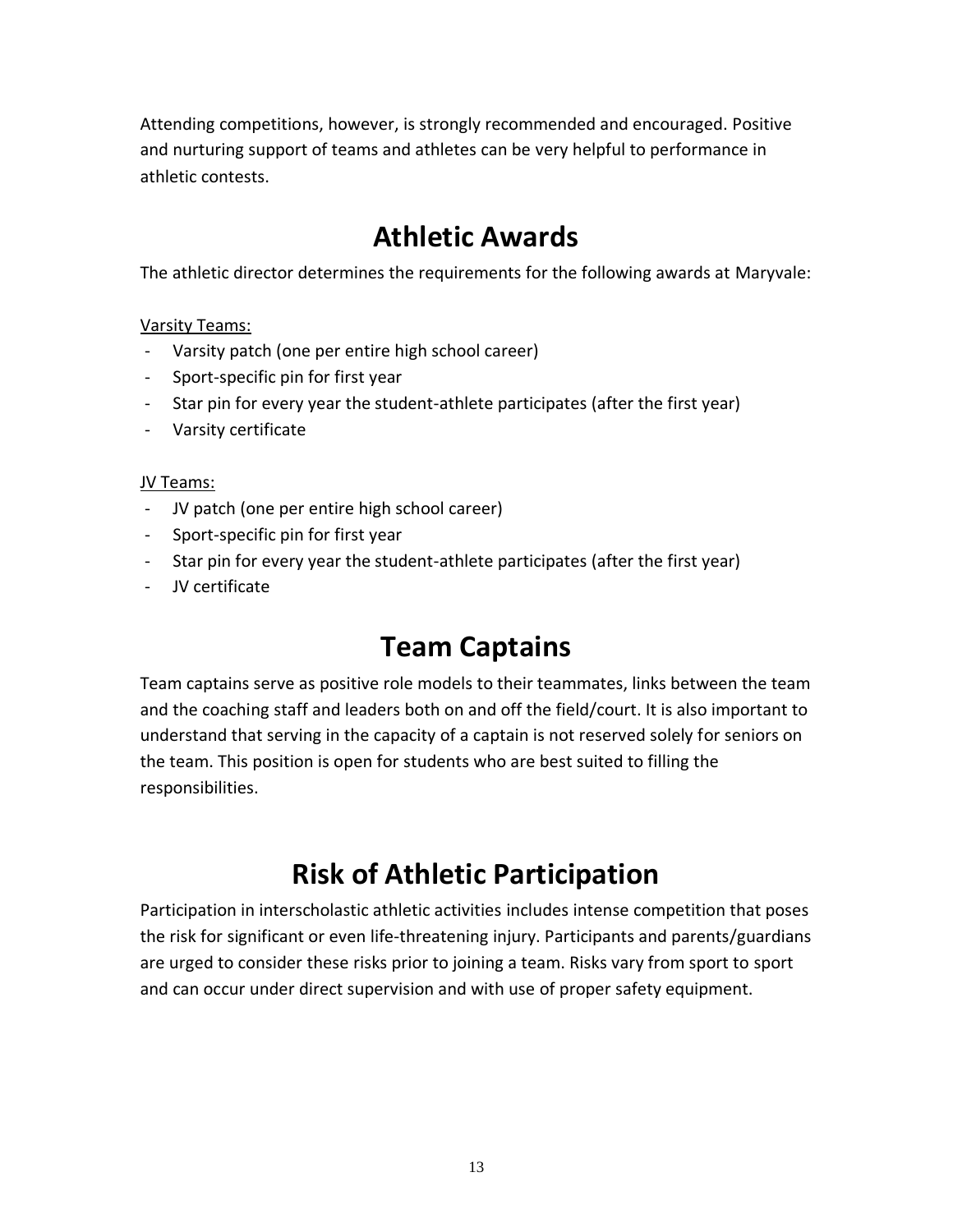Attending competitions, however, is strongly recommended and encouraged. Positive and nurturing support of teams and athletes can be very helpful to performance in athletic contests.

## **Athletic Awards**

The athletic director determines the requirements for the following awards at Maryvale:

Varsity Teams:

- Varsity patch (one per entire high school career)
- Sport-specific pin for first year
- Star pin for every year the student-athlete participates (after the first year)
- Varsity certificate

### JV Teams:

- JV patch (one per entire high school career)
- Sport-specific pin for first year
- Star pin for every year the student-athlete participates (after the first year)
- JV certificate

## **Team Captains**

Team captains serve as positive role models to their teammates, links between the team and the coaching staff and leaders both on and off the field/court. It is also important to understand that serving in the capacity of a captain is not reserved solely for seniors on the team. This position is open for students who are best suited to filling the responsibilities.

# **Risk of Athletic Participation**

Participation in interscholastic athletic activities includes intense competition that poses the risk for significant or even life-threatening injury. Participants and parents/guardians are urged to consider these risks prior to joining a team. Risks vary from sport to sport and can occur under direct supervision and with use of proper safety equipment.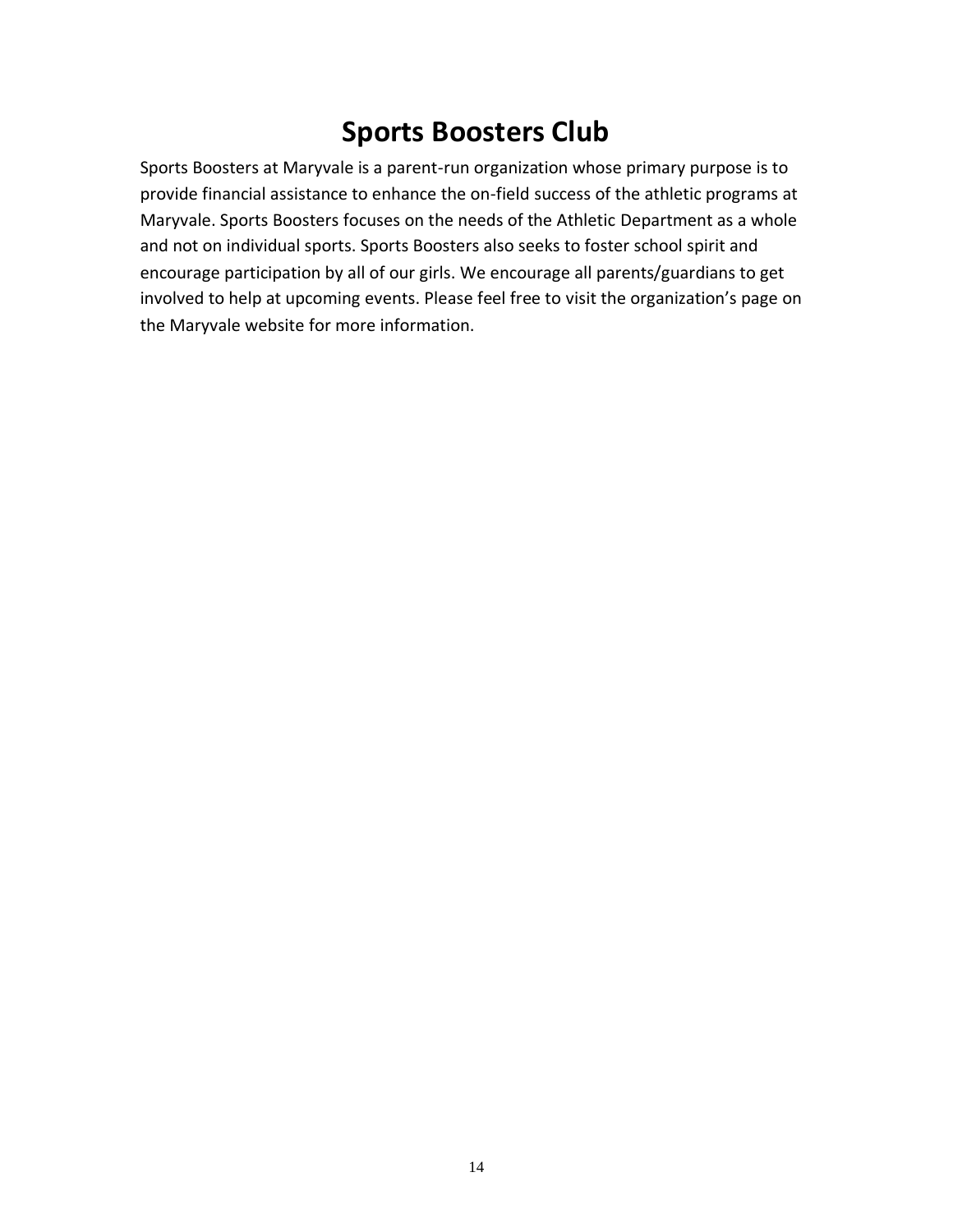## **Sports Boosters Club**

Sports Boosters at Maryvale is a parent-run organization whose primary purpose is to provide financial assistance to enhance the on-field success of the athletic programs at Maryvale. Sports Boosters focuses on the needs of the Athletic Department as a whole and not on individual sports. Sports Boosters also seeks to foster school spirit and encourage participation by all of our girls. We encourage all parents/guardians to get involved to help at upcoming events. Please feel free to visit the organization's page on the Maryvale website for more information.